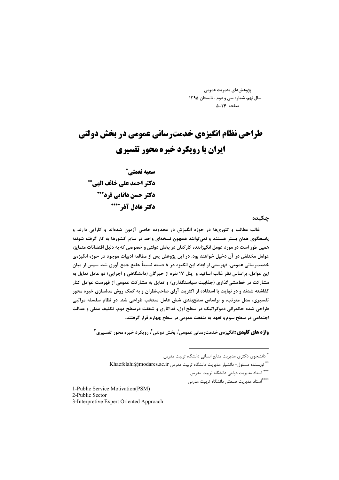پژوهش های مدیریت عمومی سال نهم، شماره سی و دوم ، تابستان ۱۳۹۵ صفحه ٢۴-۵

# طراحی نظام انگیزهی خدمت سانی عمومی در یخش دولتی **ایران با رویکرد خبره محور تفسیری** سميه نعمتي\* دكتر احمد على خائف الهي\*\* دکتر حسن دانایی فرد\*\*\* دكتر عادل آذر \*\*\*\*

چکىدە

غالب مطالب و تئوریها در حوزه انگیزش در محدوده خاصی آزمون شدهاند و کارایی دارند و پاسخگوی همان بستر هستند و نمی توانند همچون نسخهای واحد در سایر کشورها به کار گرفته شوند؛ همین طور است در مورد عومل انگیزاننده کارکنان در بخش دولتی و خصوصی که به دلیل اقتضائات متمایز، عوامل مختلفی در آن دخیل خواهند بود. در این پژوهش پس از مطالعه ادبیات موجود در حوزه انگیزهی خدمترسانی عمومی، فهرستی از ابعاد این انگیزه در ۸ دسته نسبتاً جامع جمع آوری شد. سپس از میان این عوامل، براساس نظر غالب اساتید و پنل ۱۷ نفره از خبرگان (دانشگاهی و اجرایی) دو عامل تمایل به مشارکت در خطمشیگذاری (جذابیت سیاستگذاری) و تمایل به مشارکت عمومی از فهرست عوامل کنار گذاشته شدند و در نهایت با استفاده از اکثریت آرای صاحبنظران و به کمک روش مدلسازی خبره محور تفسیری، مدل مترتب، و براساس سطحبندی شش عامل منتخب طراحی شد. در نظام سلسله مراتبی طراحی شده حکمرانی دموکراتیک در سطح اول، فداکاری و شفقت درسطح دوم، تکلیف مدنی و عدالت اجتماعی در سطح سوم و تعهد به منفعت عمومی در سطح چهارم قرار گرفتند.

**واژه های کلیدی :**انگیزهی خدمترسانی عمومی<sup>٬</sup>، بخش دولتی<sup>٬٬</sup> رویکرد خبره محور تفسیری آ

1-Public Service Motivation(PSM) 2-Public Sector

3-Interpretive Expert Oriented Approach

<sup>&</sup>quot; دانشجوی دکتری مدیریت منابع انسانی دانشگاه تربیت مدرس

أ\* نويسنده مسئول- دانشيار مديريت دانشگاه تربيت مدرس Khaefelahi@modares.ac.ir

<sup>\*\*\*</sup> استاد مديريت دولتي دانشگاه تربيت مدرس

<sup>\*\*\*\*|</sup>ستاد مديريت صنعتى دانشگاه تربيت مدرس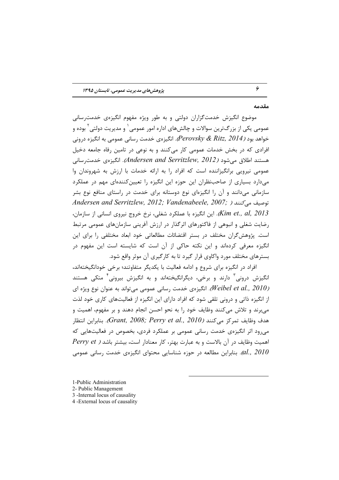#### مقدمه

۶

موضوع انگیزش خدمتگزاران دولتی و به طور ویژه مفهوم انگیزهی خدمت سانی عمومي يکي از بزرگ־رين سوالات و چالشهاي اداره امور عمومي ٰ و مديريت دولتي ِ ۖ بوده و خواهد بود (Perovsky & Ritz, 2014). انگیزهی خدمت رسانی عمومی به انگیزه درونی افرادی که در بخش خدمات عمومی کار میکنند و به نوعی در تامین رفاه جامعه دخیل هستند اطلاق می شود (Andersen and Serritzlew, 2012). انگیزهی خدمت رسانی عمومی نیرویی برانگیزاننده است که افراد را به ارائه خدمات با ارزش به شهروندان وا میدارد بسیاری از صاحب نظران این حوزه این انگیزه را تعیین کنندهای مهم در عملکرد سازمانی میدانند و آن را انگیزهای نوع دوستانه برای خدمت در راستای منافع نوع بشر Andersen and Serritzlew, 2012; Vandenabeele, 2007; محمد می کنند ( این انگیزه با عملکرد شغلی، نرخ خروج نیروی انسانی از سازمان، (Kim et., al, 2013 رضایت شغلی و انبوهی از فاکتورهای اثرگذار در ارزش آفرینی سازمانهای عمومی مرتبط است. یژوهش گران مختلف در بستر اقتضائات مطالعاتی خود ابعاد مختلفی را برای این انگیزه معرفی کردهاند و این نکته حاکی از آن است که شایسته است این مفهوم در بسترهای مختلف مورد واکاوی قرار گیرد تا به کارگیری آن موثر واقع شود.

افراد در انگیزه برای شروع و ادامه فعالیت با یکدیگر متفاوتند؛ برخی خودانگیختهاند، انگیزش درونی<sup>۳</sup> دارند و برخی، دیگرانگیختهاند و به انگیزش بیرونی<sup>۴</sup> متکی هستند (Weibel et al., 2010). انگیزهی خدمت رسانی عمومی میتواند به عنوان نوع ویژه ای از انگیزه ذاتی و درونی تلقی شود که افراد دارای این انگیزه از فعالیتهای کاری خود لذت می برند و تلاش میکنند وظایف خود را به نحو احسن انجام دهند و بر مفهوم، اهمیت و هدف وظايف تمركز مي كنند (Grant, 2008; Perry et al., 2010). بنابراين انتظار می رود اثر انگیزهی خدمت رسانی عمومی بر عملکرد فردی، بخصوص در فعالیتهایی که  $Perry et$  ) اهمیت وظایف در آن بالاست و به عبارت بهتر، کار معنادار است، بیشتر باشد بابراین مطالعه در حوزه شناسایی محتوای انگیزهی خدمت رسانی عمومی. $al.,\ 2010$ 

- 1-Public Administration
- 2- Public Management
- 3 -Internal locus of causality
- 4 -External locus of causality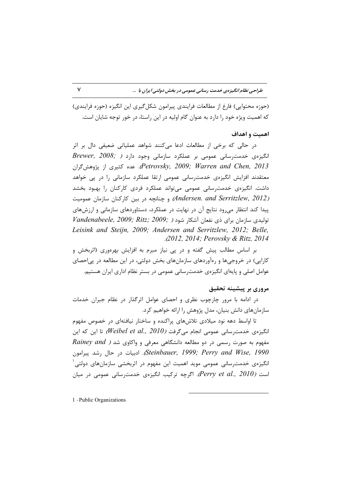(حوزه محتوايي) فارغ از مطالعات فرايندي پيرامون شكل گيري اين انگيزه (حوزه فرايندي) که اهمیت ویژه خود را دارد به عنوان گام اولیه در این راستا، در خور توجه شایان است.

#### اهميت و اهداف

در حالی که برخی از مطالعات ادعا میکنند شواهد عملیاتی ضعیفی دال بر اثر  $Brewer, 2008;$  انگیزهی خدمت رسانی عمومی بر عملکرد سازمانی وجود دارد ( Petrovsky, 2009; Warren and Chen, 2013). عده كثيرى از يژوهش گران معتقدند افزایش انگیزەی خدمت رسانی عمومی ارتقا عملکرد سازمانی را در پی خواهد داشت. انگیزهی خدمت رسانی عمومی میتواند عملکرد فردی کارکنان را بهبود بخشد و جنانچه در بین کارکنان سازمان عمومیت (Andersen. and Serritzlew, 2012) پیدا کند انتظار می ود نتایج آن در نهایت در عملکرد، دستاوردهای سازمانی و ارزش های  $V$ andenabeele, 2009; Ritz; 2009; شود ( , 2009; Pandenabeele, 2009; 7 Leisink and Steijn, 2009; Andersen and Serritzlew, 2012; Belle, .*(2012, 2014; Perovsky & Ritz, 2014* 

بر اساس مطالب پیش گفته و در پی نیاز مبرم به افزایش بهرهوری (اثربخش و کارایی) در خروجیها و رهآوردهای سازمانهای بخش دولتی، در این مطالعه در پیاحصای عوامل اصلی و پایهای انگیزهی خدمت سانی عمومی در بستر نظام اداری ایران هستیم.

#### مروری بر پیشینه تحقیق

در ادامه با مرور چارچوب نظری و احصای عوامل اثرگذار در نظام جبران خدمات سازمانهای دانش بنیان، مدل پژوهش را ارائه خواهیم کرد.

تا اواسط دهه نود میلادی تلاش های پراکنده و ساختار نیافتهای در خصوص مفهوم انگیزهی خدمترسانی عمومی انجام میگرفت (Weibel et al., 2010) تا این که این Rainey and ) مفهوم به صورت رسمی در دو مطالعه دانشگاهی معرفی و واکاوی شد Steinbauer, 1999; Perry and Wise, 1990، ادبیات در حال رشد پیرامون انگیزهی خدمترسانی عمومی موید اهمیت این مفهوم در اثربخشی سازمانهای دولتی ٰ است (Perry et al., 2010). اگرچه ترکیب انگیزهی خدمترسانی عمومی در میان

1 -Public Organizations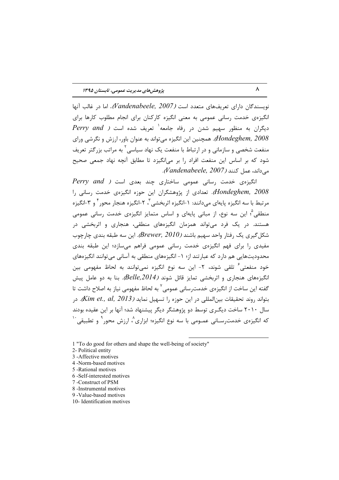نویسندگان دارای تعریفهای متعدد است (Vandenabeele, 2007). اما در غالب آنها انگیزهی خدمت رسانی عمومی به معنی انگیزه کارکنان برای انجام مطلوب کارها برای  $\it{Perry\ and\ }$  دیگران به منظور سهیم شدن در رفاه جامعه $'$  تعریف شده است (  $\it{Perry\ and\ }$ Hondeghem, 2008). همچنین این انگیزه می تواند به عنوان باور، ارزش و نگرشی ورای منفعت شخصی و سازمانی و در ارتباط با منفعت یک نهاد سیاسی <sup>۲</sup> به مراتب بزرگتر تعریف شود که بر اساس این منفعت افراد را بر می|نگیزد تا مطابق آنچه نهاد جمعی صحیح م داند، عمل كنند (Vandenabeele, 2007).

 $Perry$  and ) انگیزهی خدمت رسانی عمومی ساختاری چند بعدی است Hondeghem, 2008). تعدادی از پژوهشگران این حوزه انگیزهی خدمت رسانی را مرتبط با سه انگیزه پایهای مے دانند: ۱-انگیزه اثریخشے آ، ۲-انگیزه هنجار محوراً و ۳-انگیزه منطقی<sup>م</sup>؛ این سه نوع، از مبانی پایهای و اساس متمایز انگیزهی خدمت رسانی عمومی هستند. در یک فرد می تواند همزمان انگیزههای منطقی، هنجاری و اثربخشی در شکل گیری یک رفتار واحد سهیم باشند (Brewer, 2010). این سه طبقه بندی چارچوب مفیدی را برای فهم انگیزهی خدمت رسانی عمومی فراهم میسازد؛ این طبقه بندی محدودیتهایی هم دارد که عبارتند از؛ ۱– انگیزههای منطقی به آسانی می توانند انگیزههای خود منفعتی ٔ تلقی شوند، ۲- این سه نوع انگیزه نمی توانند به لحاظ مفهومی بین انگیزههای هنجاری و اثربخشی تمایز قائل شوند (Belle,2014). بنا به دو عامل پیش گفته این ساخت از انگیزهی خدمت٫سانی عمومی<sup>٬ ب</sup>ه لحاظ مفهومی نیاز به اصلاح داشت تا , بتواند روند تحقیقات بین المللی در این حوزه را تسهیل نماید (Kim et., al, 2013). در سال ۲۰۱۰ ساخت دیگـری توسط دو پژوهشگر دیگر پیشنهاد شد؛ آنها بر این عقیده بودند که انگیزهی خدمت٫سـانی عمــومی با سه نوع انگیزه؛ ابزاری^، ارزش محور ` و تطبیقی، ``

- 4 -Norm-based motives
- 5 Rational motives
- 6 -Self-interested motives
- 7 -Construct of PSM
- 8 -Instrumental motives
- 9 -Value-based motives
- 10- Identification motives

<sup>1 &</sup>quot;To do good for others and shape the well-being of society"

<sup>2-</sup> Political entity

<sup>3 -</sup>Affective motives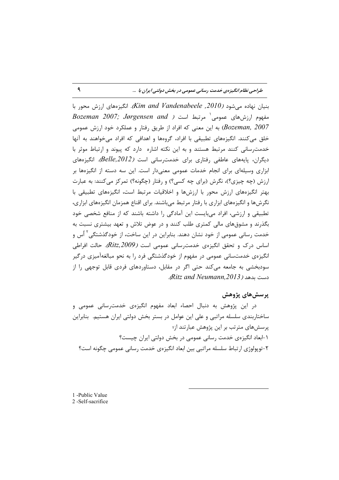بنیان نهاده می شود (2010, Kim and Vandenabeele). انگیزههای ارزش محور با  $\emph{Bozeman}$  2007; Jørgensen and ) مفهوم ارزشهای عمومی مرتبط است به این معنی که افراد از طریق رفتار و عملکرد خود ارزش عمومی (Bozeman, 2007 خلق می کنند. انگیزههای تطبیقی با افراد، گروهها و اهدافی که افراد میخواهند به آنها خدمت رسانی کنند مرتبط هستند و به این نکته اشاره دارد که پیوند و ارتباط موثر با دیگران، پایههای عاطفی رفتاری برای خدمترسانی است (Belle,2012). انگیزههای ابزاری وسیلهای برای انجام خدمات عمومی معنیدار است. این سه دسته از انگیزهها بر ارزش (چه چیزی؟)، نگرش (برای چه کسی؟) و رفتار (چگونه؟) تمرکز میکنند: به عبارت بهتر انگیزههای ارزش محور با ارزشها و اخلاقیات مرتبط است، انگیزههای تطبیقی با نگرشها و انگیزههای ابزاری با رفتار مرتبط می باشند. برای اقناع همزمان انگیزههای ابزاری، تطبیقی و ارزشی، افراد می بایست این آمادگی را داشته باشند که از منافع شخصی خود بگذرند و مشوق های مالی کمتری طلب کنند و در عوض تلاش و تعهد بیشتری نسبت به خدمت رسانی عمومی از خود نشان دهند. بنابراین در این ساخت، از خودگذشتگی<sup>۲</sup> اٌس و اساس درک و تحقق انگیزهی خدمت سانی عمومی است (Ritz,2009). حالت افراطی انگیزهی خدمتسانی عمومی در مفهوم از خودگذشتگی فرد را به نحو مبالغهآمیزی درگیر سودبخشی به جامعه می کند حتی اگر در مقابل، دستاوردهای فردی قابل توجهی را از دست بدهد (Ritz and Neumann,2013).

## پرسشهای پژوهش

در این پژوهش به دنبال احصاء ابعاد مفهوم انگیزهی خدمت سانی عمومی و ساختاربندی سلسله مراتبی و علی این عوامل در بستر بخش دولتی ایران هستیم. بنابراین پرسشهای مترتب بر این پژوهش عبارتند از؛ ۱-ابعاد انگیزهی خدمت رسانی عمومی در بخش دولتی ایران چیست؟ ۲-توپولوژي ارتباط سلسله مراتبي بين ابعاد انگيزەي خدمت رساني عمومي چگونه است؟

1 -Public Value 2-Self-sacrifice

 $\mathbf{A}$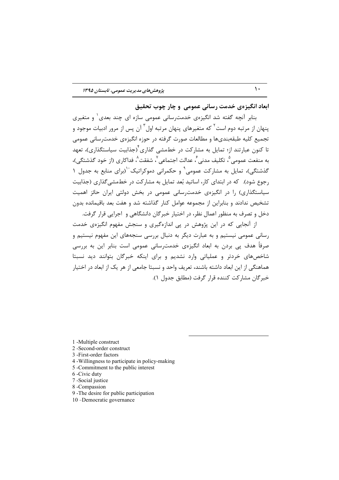ابعاد انگیزهی خدمت رسانی عمومی و چار چوب تحقیق

بنابر آنچه گفته شد انگیزهی خدمترسانی عمومی سازه ای چند بعدی ٰ و متغیری ینهان از مرتبه دوم است<sup>۲</sup> که متغیرهای پنهان مرتبه اول<sup>۳</sup> آن پس از مرور ادبیات موجود و تجميع كليه طبقهبنديها و مطالعات صورت گرفته در حوزه انگيزهي خدمت ساني عمومي تا کنون عبارتند از؛ تمایل به مشارکت در خطمشی گذاری<sup>۴</sup>(جذابیت سیاستگذاری)، تعهد به منفعت عمومی ؓ، تکلیف مدنی ؓ، عدالت اجتماعی ؓ، شفقت ؓ، فداکا<sub>ر</sub>ی (از خود گذشتگی)، گذشتگی)، تمایل به مشارکت عمومی <sup>۹</sup> و حکمرانی دموکراتیک<sup>۰٬</sup>(برای منابع به جدول ۱ رجوع شود). که در ابتدای کار، اساتید بًعد تمایل به مشارکت در خطمشی گذاری (جذابیت سیاستگذاری) را در انگیزهی خدمت سانی عمومی در بخش دولتی ایران حائز اهمیت تشخیص ندادند و بنابراین از مجموعه عوامل کنار گذاشته شد و هفت بعد باقیمانده بدون دخل و تصرف به منظور اعمال نظر، در اختیار خبرگان دانشگاهی و اجرایی قرار گرفت.

از آنجایی که در این پژوهش در یی اندازهگیری و سنجش مفهوم انگیزهی خدمت رسانی عمومی نیستیم و به عبارت دیگر به دنبال بررسی سنجههای این مفهوم نیستیم و صرفاً هدف پی بردن به ابعاد انگیزەی خدمترسانی عمومی است بنابر این به بررسی شاخصهای خردتر و عملیاتی وارد نشدیم و برای اینکه خبرگان بتوانند دید نسبتا هماهنگی از این ابعاد داشته باشند، تعریف واحد و نسبتا جامعی از هر یک از ابعاد در اختیار خير گان مشاركت كننده قرار گرفت (مطابق جدول ١).

1 -Multiple construct

2-Second-order construct

3-First-order factors

4 - Willingness to participate in policy-making

5 -Commitment to the public interest

6-Civic duty

7 - Social justice

8-Compassion

9 - The desire for public participation

10 - Democratic governance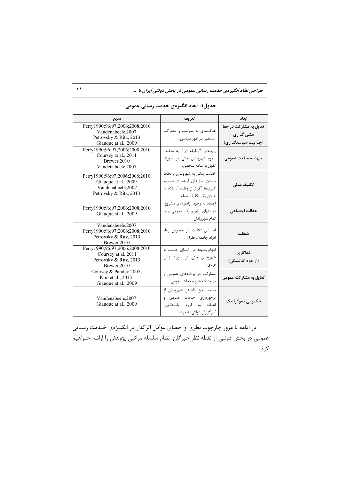| منبع                                                                                                   | تعريف                                                                                                                    | ابعاد                                                     |  |
|--------------------------------------------------------------------------------------------------------|--------------------------------------------------------------------------------------------------------------------------|-----------------------------------------------------------|--|
| Perry1990;96;97;2006;2008;2010<br>Vandenabeele, 2007<br>Petrovsky & Ritz, 2013<br>Giauque at al., 2009 | علاقمندی به سیاست و مشارکت<br>مستقیم در امور سیاسی.                                                                      | تمایل به مشارکت در خط<br>مشی گذاری<br>(جذابیت سیاستگذاری) |  |
| Perry1990;96;97;2006;2008;2010<br>Coursey at al., 2011<br>Brewer, 2010<br>Vandenabeele, 2007           | پایبندی "وظیفه ای" به منفعت<br>عموم شهروندان حتى در صورت<br>تقابل با منافع شخصي.                                         | تعهد به منفعت عمومى                                       |  |
| Perry1990;96;97;2006;2008;2010<br>Giauque at al., 2009<br>Vandenabeele, 2007<br>Petrovsky & Ritz, 2013 | خدمت رساني به شهروندان و لحاظ<br>نمودن نسلهای آینده در تصمیم<br>گيريها "فراتر از وظيفه"، بلكه به<br>عنوان یک تکلیف مسلم. | تكليف مدنى                                                |  |
| Perry1990;96;97;2006;2008;2010<br>Giauque at al., 2009                                                 | اعتقاد به وجود آزاديهاي مشروع،<br>فرصتهای برابر و رفاه عمومی برای<br>تمام شهروندان.                                      | عدالت اجتماعي                                             |  |
| Vandenabeele, 2007<br>Perry1990;96;97;2006;2008;2010<br>Petrovsky & Ritz, 2013<br>Brewer, 2010         | احساس تكليف در خصوص رفاه<br>افراد جامعه و فقرا.                                                                          | شفقت                                                      |  |
| Perry1990;96;97;2006;2008;2010<br>Coursey at al., 2011<br>Petrovsky & Ritz, 2013<br>Brewer, 2010       | انجام وظیفه در راستای خدمت به<br>شهروندان حتى در صورت زيان<br>فر دی.                                                     | فداكارى<br>(از خود گذشتگی)                                |  |
| Coursey & Pandey, 2007;<br>Kim et al., 2013;<br>Giauque at al., 2009                                   | مشارکت در برنامههای عمومی و<br>بهبود كالاها و خدمات عمومي.                                                               | تمایل به مشارکت عمومی                                     |  |
| Vandenabeele, 2007<br>Giauque at al., 2009                                                             | صاحب حق دانستن شهروندان از<br>برخورداری خدمات عمومی و<br>اعتقاد به لزوم یاسخگویی<br>کارگزاران دولتي به مردم.             | حکمرانی دموکراتیک                                         |  |

جدول۱: ابعاد انگیزهی خدمت رسانی عمومی

در ادامه با مرور چارچوب نظری و احصای عوامل اثرگذار در انگیـزهی خـدمت رسـانی عمومی در بخش دولتی از نقطه نظر خبرگان، نظام سلسله مراتبی پژوهش را ارائــه خــواهیم کرد.

 $\mathcal{M}$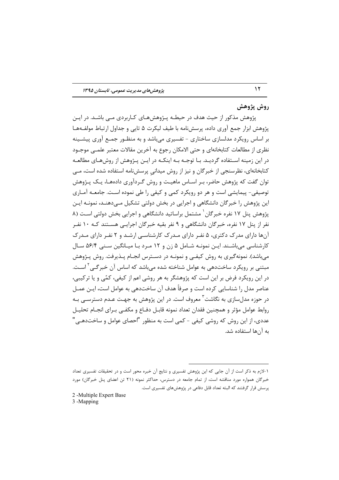#### روش پژوهش

 $\gamma$ 

پژوهش مذکور از حیث هدف در حیطـه پـژوهش۵مـای کـاربردی مـی باشـد. در ایـن پژوهش ابزار جمع آوري داده، پرسش،نامه با طيف ليکرت ۵ تايي و جداول ارتباط مولف1هـا بر اساس رویکرد مدلسازی ساختاری - تفسیری میباشد و به منظـور جمـع آوری پیشـینه نظري از مطالعات كتابخانهاي و حتى الامكان رجوع به آخرين مقالات معتبر علمــي موجــود در این زمینه اسـتفاده گردیـد. بـا توجـه بـه اینکـه در ایـن پـژوهش از روشهـای مطالعـه کتابخانهای، نظرسنجی از خبرگان و نیز از روش میدانی پرسشنامه استفاده شده است، مـی توان گفت که پژوهش حاضر، بـر اســاس ماهيــت و روش گـردآوري دادههــا، يــک پــژوهش توصيفي- پيمايشي است و هر دو رويکرد کمي و کيفي را طي نموده است. جامعـه آمـاري این پژوهش را خبرگان دانشگاهی و اجرایی در بخش دولتی تشکیل مے دهنــد، نمونــه ایــن یژوهش پنل ۱۷ نفره خبرگان` مشتمل براساتید دانشگاهی و اجرایی بخش دولتی اسـت (۸ نفر از پنل ۱۷ نفره، خبرگان دانشگاهی و ۹ نفر بقیه خبرگان اجرایـی هســتند کـه ۱۰ نفـر آنها دارای مدرک دکتری، ۵ نفر دارای مـدرک کارشناسـی ارشـد و ۲ نفـر دارای مـدرک کارشناسی می باشـند. ایـن نمونـه شـامل ۵ زن و ۱۲ مـرد بـا میـانگین سـنی ۵۶/۴ سـال میباشد). نمونهگیری به روش کیفـی و نمونـه در دسـترس انجـام پـذیرفت. روش پـژوهش مبتنی بر رویکرد ساختدهی به عوامل شناخته شده می،باشد که اساس آن خبرگــی<sup>۲</sup> اسـت. در این رویکرد فرض بر این است که پژوهشگر به هر روشی اعم از کیفی، کمّی و یا ترکیبی، عناصر مدل ٫۱ شناسایی ِ کرده است و صرفاً هدف آن ساختدهی به عوامل است، ایــن عمــل در حوزه مدلسازی به نگاشت<sup>۳</sup> معروف است. در این پژوهش به جهت عـدم دسترسـی بـه روابط عوامل مؤثر و همچنین فقدان تعداد نمونه قابـل دفـاع و مکفـی بـرای انجـام تحلیـل عددی، از این روش که روشی کیفی – کمی است به منظور "احصای عوامل و ساختدهـی' به آنها استفاده شد.

2-Multiple Expert Base 3 -Mapping

۱-لازم به ذکر است از آن جایی که این پژوهش تفسیری و نتایج آن خبره محور است و در تحقیقات تفسیری تعداد خبرگان همواره مورد مناقشه است، از تمام جامعه در دسترس، حداکثر نمونه (۲۱ تن اعضای پنل خبرگان) مورد پرسش قرار گرفتند که البته تعداد قابل دفاعی در پژوهشهای تفسیری است.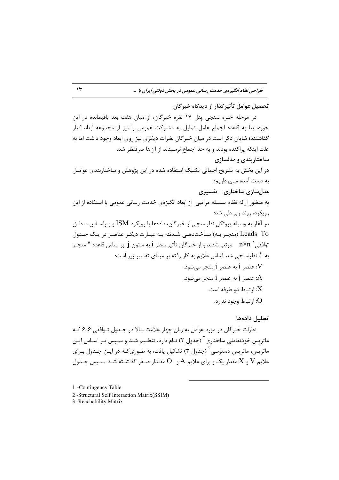### تحصيل عوامل تأثير گذار از ديدگاه خير گان

د, مرحله خبره سنجى ينل ١٧ نفره خبرگان، از ميان هفت بعد باقيمانده در اين حوزه، بنا به قاعده اجماع عامل تمایل به مشارکت عمومی را نیز از مجموعه ابعاد کنار گذاشتند؛ شایان ذکر است در میان خبرگان نظرات دیگری نیز روی ابعاد وجود داشت اما به علت اینکه پراکنده بودند و به حد اجماع نرسیدند از آنها صرفنظر شد. ساختارېندي و مدلسازي در این بخش به تشریح اجمالی تکنیک استفاده شده در این پژوهش و ساختاربندی عوامـل به دست آمده می برداز یم؛ مدل سازی ساختاری - تفسیری به منظور ارائه نظام سلسله مراتبي از ابعاد انگيزەي خدمت رساني عمومي با استفاده از اين رویکرد، روند زیر طے شد: در آغاز به وسیله پروتکل نظرسنجی از خبرگان، دادهها با رویکرد ISM و بـراسـاس منطــق Leads To (منجر بـه) سـاختدهـی شـدند؛ بـه عبـارت دیگـر عناصـر در یـک جـدول توافقي ` n×n مرتب شدند و از خبر گان تأثير سطر i به ستون j بر اساس قاعده " منجـر به "، نظرسنجی شد. اساس علایم به کار رفته بر مبنای تفسیر زیر است: عنصر 1 به عنصر 1 منجر می شود.  $V$ A: عنصر j به عنصر j منجر می شود. ارتباط دو طرفه است. $X$  $\Omega$ : ا<sub>ر</sub>تباط وجود ندارد.

تحليل دادهها

نظرات خبرگان در مورد عوامل به زبان چهار علامت بـالا در جـدول تـوافقي ۶×۶ كـه ماتر سی خودتعاملے ساختاری ۲ (جدول ۲) نـام دارد، تنظـیم شـد و سـیس بـر اسـاس ایـن ماتر سی، ماتریس دسترسی ۳ (جدول ۳) تشکیل یافت، به طـوری کـه در ایــن جـدول بـرای علايم V و X مقدار يک و براي علايم A و O مقـدار صـغر گذاشـته شـد. سـيس جـدول

1 -Contingency Table

2 -Structural Self Interaction Matrix(SSIM)

3 - Reachability Matrix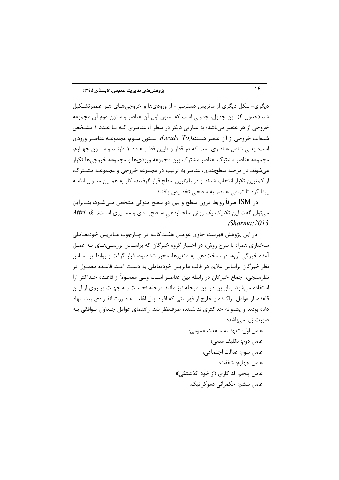دیگری- شکل دیگری از ماتریس دسترسی- از ورودیها و خروجیهـای هـر عنصرتشـکیل شد (جدول ۴). این جدول، جدولی است که ستون اول آن عناصر و ستون دوم آن مجموعه خروجی از هر عنصر می باشد؛ به عبارتی دیگر در سطر i، عناصری کـه بـا عـدد ۱ مشـخص شدهاند، خروجی از آن عنصر هستند(Leads To). ســتون ســوم، مجموعــه عناصـر ورودی است؛ یعنی شامل عناصری است که در قطر و پایین قطـر عـدد ۱ دارنـد و سـتون چهـارم، مجموعه عناصر مشترک. عناصر مشترک بین مجموعه ورودیها و مجموعه خروجیها تکرار می شوند. در مرحله سطحبندی، عناصر به ترتیب در مجموعه خروجی و مجموعـه مشـترک، از کمترین تکرار انتخاب شدند و در بالاترین سطح قرار گرفتند، کار به همـین منـوال ادامـه ييدا كرد تا تمامى عناصر به سطحى تخصيص يافتند.

در ISM صرفاً روابط درون سطح و بین دو سطح متوالی مشخص مـیشـود، بنــابراین  $Sharma: 2013$ 

در اين پژوهش فهرست حاوي عوامـل هفـتگانـه در چـارچوب مـاتريس خودتعـاملي ساختاری همراه با شرح روش، در اختیار گروه خبرگان که براسـاس بررسـیهـای بـه عمـل آمده خبرگی آنها در ساختدهی به متغیرها، محرز شده بود، قرار گرفت و روابط بر اسـاس نظر خبر گان براساس علایم در قالب ماتریس خودتعاملی به دسـت آمـد. قاعـده معمـول در نظرسنجي، اجماع خبرگان در رابطه بين عناصـر اسـت ولـي معمــولاً از قاعــده حــداكثر آرا استفاده می شود. بنابراین در این مرحله نیز مانند مرحله نخسـت بـه جهـت پیـروی از ایـن قاعده، از عوامل پراکنده و خارج از فهرستی که افراد پنل اغلب به صورت انفـرادی پیشـنهاد داده بودند و پشتوانه حداکثری نداشتند، صرفنظر شد. راهنمای عوامل جـداول تـوافقی بـه صورت زیر مے باشد:

> عامل اول: تعهد به منفعت عمومي؛ عامل دوم: تكليف مدنى؛ عامل سوم: عدالت اجتماعي؛ عامل چهارم: شفقت؛ عامل پنجم: فداکاری (از خود گذشتگی)؛ عامل ششم: حکمرانی دموکراتیک.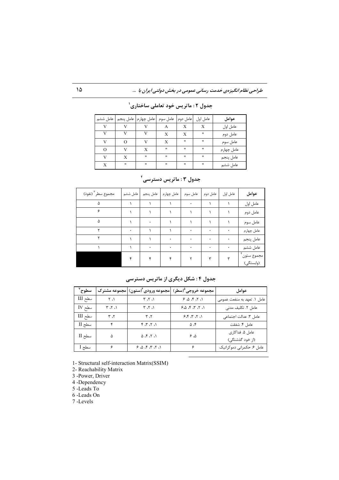| عامل ششم |   | عامل چهارم   عامل پنجم | عامل سوم          | عامل دوم          | عامل اول | عوامل      |
|----------|---|------------------------|-------------------|-------------------|----------|------------|
|          |   |                        | А                 | X                 | X        | عامل اول   |
| v        |   |                        | X                 | X                 | "        | عامل دوم   |
| v        |   |                        | X                 | .,                | 11       | عامل سوم   |
|          |   | X                      | $^{\prime\prime}$ | $^{\prime\prime}$ | .,       | عامل چهارم |
|          | Х | $^{\prime\prime}$      | $^{\prime\prime}$ | $^{\prime\prime}$ | .,       | عامل پنجم  |
| X        | " | "                      | $^{\prime\prime}$ | $^{\prime\prime}$ | .,       | عامل ششم   |

جدول ۲ : ماتریس خود تعاملی ساختاری<sup>'</sup>

| مجموع سطر " (نفوذ) | عامل ششم | عامل پنجم | عامل چهارم | عامل سوم | عامل دوم | عامل اول | عوامل                   |
|--------------------|----------|-----------|------------|----------|----------|----------|-------------------------|
|                    |          |           |            | ٠        |          |          | عامل اول                |
|                    |          |           |            |          |          |          | عامل دوم                |
|                    |          |           |            |          |          |          | عامل سوم                |
|                    |          |           |            |          | ٠        |          | عامل چهارم              |
|                    |          |           |            | ٠        | ٠        |          | عامل پنجم               |
|                    |          | ۰         | ۰          | ۰        | ۰        | ۰        | عامل ششم                |
|                    |          |           |            |          |          |          | مجموع ستون<br>(وابستگى) |

جدول ۳ : ماتریس دسترسی<sup>۲</sup>

**Q! 5; : I. : 4 O**

| سطوح            |          |                  | مجموعه خروجي <sup>0</sup> (سطر)  مجموعه ورودي ً(ستون)  مجموعه مشترک | عوامل                               |
|-----------------|----------|------------------|---------------------------------------------------------------------|-------------------------------------|
| سطح III         | ۰۱، ۲    | ۰، ۲، ۳          | 6.7.7                                                               | عامل ۱. تعهد به منفعت عمومی         |
| $\text{IV}$ سطح | ۰۱، ۲، ۳ | ۰۱، ۲، ۳         | 6.5.7.7.1                                                           | عامل ٢. تكليف مدنى                  |
| سطح III         | ۲، ۳     | ۲، ۳             | 6.7.7.1                                                             | عامل ٣. عدالت اجتماعى               |
| سطح II          | ۴        | ۱، ۲، ۳، ۴       | $\Delta$ .۴                                                         | عامل ۴. شفقت                        |
| سطح II          | Δ        | 1.7.7.0          | ۵، ۶                                                                | عامل ۵. فداکا, ی<br>(از خود گذشتگی) |
| سطح 1           | ۶        | ۱، ۲، ۳، ۴، ۵، ۶ | ۶                                                                   | عامل ۶. حکمرانی دموکراتیک           |

1- Structural self-interaction Matrix(SSIM)

2- Reachability Matrix

3 -Power, Driver

4 -Dependency

5 -Leads To

6 -Leads On

7 -Levels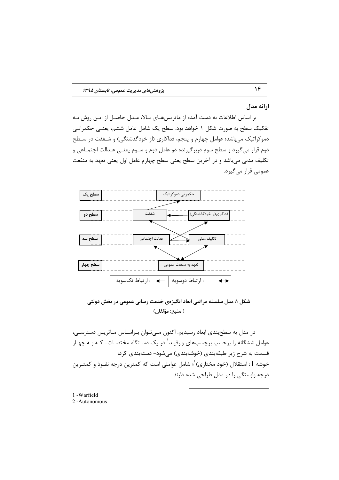#### ارائه مدل

بر اساس اطلاعات به دست آمده از ماتریسهـای بـالا، مـدل حاصـل از ایـن روش بـه تفکیک سطح به صورت شکل ۱ خواهد بود. سطح یک شامل عامل ششم، یعنــی حکمرانــی دموکراتیک می باشد؛ عوامل چهارم و پنجم، فداکاری (از خودگذشتگی) و شـفقت در سـطح دوم قرار می گیرد و سطح سوم دربر گیرنده دو عامل دوم و سـوم یعنــی عـدالت اجتمــاعی و تکلیف مدنی می باشد و در آخرین سطح یعنی سطح چهارم عامل اول یعنی تعهد به منفعت عمومی قرار میگیرد.



شکل ۱: مدل سلسله مراتبی ابعاد انگیزهی خدمت رسانی عمومی در بخش دولتی ( منبع: مؤلفان)

در مدل به سطحبندی ابعاد رسیدیم. اکنون مـیتوان بـراسـاس مـاتریس دسترسـی، عوامل ششگانه را برحسب برچسبهای وارفیلد<sup>\</sup> در یک دسـتگاه مختصـات- کـه بـه چهـار قسمت به شرح زیر طبقهبندی (خوشهبندی) میشود- دستهبندی کرد: خوشه I : استقلال (خود مختاري) <sup>۲</sup>ً، شامل عواملي است كه كمترين درجه نفـوذ و كمتـرين درجه وابستگی را در مدل طراحی شده دارند.

1 - Warfield 2-Autonomous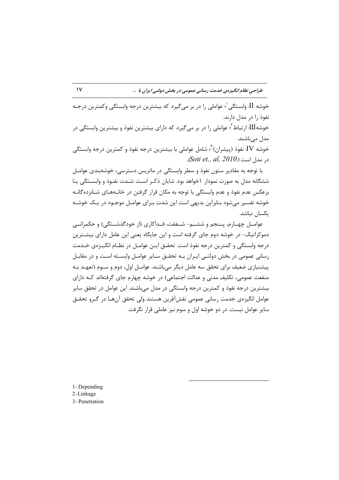خوشه II. وابستگی <sup>(</sup>؛ عواملی ٫ا در بر می گیرد که بیشترین درجه وابستگی وکمترین درجـه نفوذ را در مدل دارند. خوشه<code>III</code>: ارتباط ٔ عواملی را در بر می گیرد که دارای بیشترین نفوذ و بیشترین وابستگی در مدل مے باشند. خوشه IV: نفوذ (پیشران) <sup>۳</sup>۰ شامل عواملی با بیشترین درجه نفوذ و کمترین درجه وابستگی د, مدل است (Soti et., al, 2010).

با توجه به مقادیر ستون نفوذ و سطر وابستگی در ماتریس دسترسی، خوشهبندی عوامـل ششگانه مدل به صورت نمودار ۱خواهد بود. شایان ذکـر اسـت شـدت نفـوذ و وابسـتگی یـا برعکس عدم نفوذ و عدم وابستگی با توجه به مکان قرار گرفتن در خانـههـای شـانزدهگانـه خوشه تفسیر می شود بنابراین بدیهی است این شدت بـرای عوامـل موجـود در یـک خوشـه یکسان نباشد.

عوامــل چهــارم، پــنجم و ششـــم- شــفقت، فــداكاري (از خودگذشــتگي) و حكمرانـــی دموکراتیک- در خوشه دوم جای گرفته است و این جایگاه یعنی این عامل دارای بیشــترین درجه وابستگی و کمترین درجه نفوذ است. تحقـق ایـن عوامـل در نظـام انگیـزهی خـدمت رسانی عمومی در بخش دولتے ایـران بـه تحقـق سـایر عوامـل وابسـته اسـت و در مقابـل پیشنیازی ضعیف برای تحقق سه عامل دیگر می باشند. عوامـل اول، دوم و سـوم (تعهـد بـه منفعت عمومی، تکلیف مدنی و عدالت اجتماعی) در خوشه چهارم جای گرفتهاند کـه دارای بیشترین درجه نفوذ و کمترین درجه وابستگی در مدل میباشند. این عوامل در تحقق سایر عوامل انگیزہی خدمت رسانی عمومی نقش آفرین هستند ولی تحقق آنهـا در گـرو تحقــق سایر عوامل نیست. در دو خوشه اول و سوم نیز عاملی قرار نگرفت.

1- Depending

2-Linkage

3- Penetration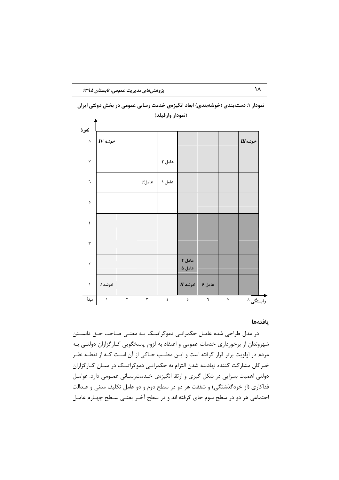

نمودار ۱: دستهبندی (خوشهبندی) ابعاد انگیزهی خدمت رسانی عمومی در بخش دولتی ایران (نمودار وارفيلد)

#### بافتهها

در مدل طراحی شده عامـل حکمرانـی دموکراتیـک بـه معنـی صـاحب حـق دانسـتن شهروندان از برخورداری خدمات عمومی و اعتقاد به لزوم پاسخگویی کـارگزاران دولتـی بـه مردم در اولویت برتر قرار گرفته است و ایـن مطلـب حـاکی از آن اسـت کـه از نقطـه نظـر خبرگان مشارکت کننده نهادینه شدن التزام به حکمرانبی دموکراتیـک در میـان کـارگزاران دولتی اهمیت بسزایی در شکل گیری و ارتقا انگیزهی خـدمترسـانی عمـومی دارد. عوامـل فداکاری (از خودگذشتگی) و شفقت هر دو در سطح دوم و دو عامل تکلیف مدنی و عـدالت اجتماعی هر دو در سطح سوم جای گرفته اند و در سطح آخـر یعنـی سـطح چهـارم عامـل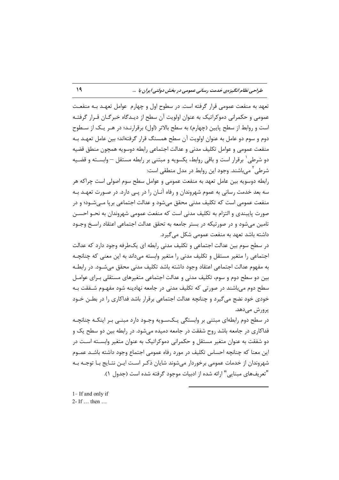تعهد به منفعت عمومي قرار گرفته است. در سطوح اول و چهارم عوامل تعهـد بـه منفعـت عمومی و حکمرانی دموکراتیک به عنوان اولویت آن سطح از دیـدگاه خبرگـان قـرار گرفتـه است و روابط از سطح پایین (چهارم) به سطح بالاتر (اول) برقرارنـد؛ در هـر یـک از سـطوح دوم و سوم دو عامل به عنوان اولویت آن سطح همسنگ قرار گرفتهاند؛ بین عامل تعهـد بـه منفعت عمومي و عوامل تكليف مدنى و عدالت اجتماعي رابطه دوسويه همچون منطق قضيه دو شرطی ِ برقرار است و باقی روابط، یکسویه و مبتنی بر رابطه مستقل — وابســته و قضــیه شرطی آ مے باشند. وجود این روابط در مدل منطقی است:

رابطه دوسویه بین عامل تعهد به منفعت عمومی و عوامل سطح سوم اصولی است چراکه هر سه بعد خدمت رسانی به عموم شهروندان و رفاه آنـان را در پـی دارد. در صـورت تعهـد بـه منفعت عمومي است كه تكليف مدني محقق مي شود و عدالت اجتماعي بريا مـي شــود؛ و در صورت پایبندی و التزام به تکلیف مدنی است که منفعت عمومی شهروندان به نحــو احســن تامین میشود و در صورتیکه در بستر جامعه به تحقق عدالت اجتماعی اعتقاد راسخ وجـود داشته باشد تعهد به منفعت عمومی شکل می گیرد.

در سطح سوم بین عدالت اجتماعی و تکلیف مدنی رابطه ای یکطرفه وجود دارد که عدالت اجتماعی را متغیر مستقل و تکلیف مدنی را متغیر وابسته میداند به این معنی که چنانچـه به مفهوم عدالت اجتماعي اعتقاد وجود داشته باشد تكليف مدنى محقق مى شــود. در رابطــه بین دو سطح دوم و سوم، تکلیف مدنی و عدالت اجتماعی متغیرهای مستقلی بـرای عوامـل سطح دوم می باشند در صورتی که تکلیف مدنی در جامعه نهادینه شود مفهـوم شـفقت بـه خودی خود نضج می گیرد و چنانچه عدالت اجتماعی برقرار باشد فداکاری را در بطــن خــود پرورش مےدهد.

در سطح دوم رابطهای مبتنی بر وابستگی یـکســویه وجــود دارد مبنــی بــر اینکــه چنانچــه فداکاری در جامعه باشد روح شفقت در جامعه دمیده می شود. در رابطه بین دو سطح یک و دو شفقت به عنوان متغیر مستقل و حکمرانی دموکراتیک به عنوان متغیر وابســته اســت در این معنا که چنانچه احساس تکلیف در مورد رفاه عمومی اجتماع وجود داشته باشـد عمـوم شهروندان از خدمات عمومی برخوردار میشوند شایان ذکـر اسـت ایـن نتـایج بـا توجـه بـه "تعريفهاي مبنايي" ارائه شده از ادبيات موجود گرفته شده است (جدول ١).

1- If and only if 2- If ... then ...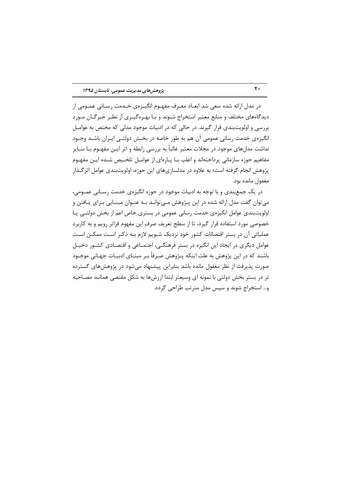در مدل ارائه شده سعی شد ابعــاد معــرف مفهــوم انگیــزهی خــدمت رســانی عمــومی از دیدگاههای مختلف و منابع معتبر استخراج شـوند و بـا بهـرهگیـری از نظـر خبرگـان مـورد بررسی و اولویتبندی قرار گیرند. در حالی که در ادبیات موجود مدلی که مختص به عوامـل انگیزهی خدمت رسانی عمومی آن هم به طور خاصه در بخـش دولتـی ایـران باشـد وجـود نداشت مدلهای موجود در مجلات معتبر غالباً به بررسی رابطه و اثر ایـن مفهـوم بـا ســایر مفاهیم حوزه سازمانی پرداختهاند و اغلب بـا پـارهای از عوامـل تلخـیص شـده ایـن مفهـوم پژوهش انجام گرفته است؛ به علاوه در مدلسازیهای این حوزه، اولویتبندی عوامل اثر گـذار مغفول مانده بود.

در یک جمع بندی و با توجه به ادبیات موجود در حوزه انگیزهی خدمت رسـانی عمــومی، می توان گفت مدل ارائه شده در این پـژوهش مـی توانـد بـه عنـوان مبنـایی بـرای پـافتن و اولویتبندی عوامل انگیزهی خدمت رسانی عمومی در بستری خاص اعم از بخش دولتے پا خصوصی مورد استفاده قرار گیرد، تا از سطح تعریف صرف این مفهوم فراتر رویم و به کاربرد عملیاتی آن در بستر اقتضائات کشور خود نزدیک شــویم لازم بــه ذکــر اســت ممکــن اســت عوامل دیگری در ایجاد این انگیزه در بستر فرهنگے، اجتمـاعی و اقتصـادی کشـور دخیـل باشند که در این پژوهش به علت اینکه پـژوهش صـرفاً بـر مبنــای ادبیـات جهـانی موجـود صورت پذیرفت از نظر مغفول مانده باشد بنابراین پیشنهاد مے شود در پژوهش های گسترده تر در بستر بخش دولتی با نمونه ای وسیعتر ابتدا ارزشها به شکل مقتضی همانند مصـاحبه و... استخراج شوند و سیس مدل مترتب طراحی گردد.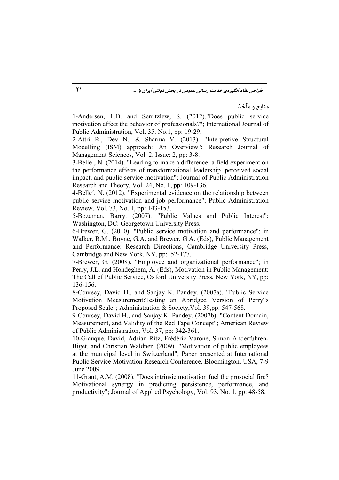## منابع و مآخذ

1-Andersen, L.B. and Serritzlew, S. (2012)."Does public service motivation affect the behavior of professionals?"; International Journal of Public Administration, Vol. 35. No.1, pp: 19-29.

2-Attri R., Dev N., & Sharma V. (2013). "Interpretive Structural Modelling (ISM) approach: An Overview"; Research Journal of Management Sciences, Vol. 2. Issue: 2, pp: 3-8.

3-Belle´, N. (2014). "Leading to make a difference: a field experiment on the performance effects of transformational leadership, perceived social impact, and public service motivation"; Journal of Public Administration Research and Theory, Vol. 24, No. 1, pp: 109-136.

4-Belle´, N. (2012). "Experimental evidence on the relationship between public service motivation and job performance"; Public Administration Review, Vol. 73, No. 1, pp: 143-153.

5-Bozeman, Barry. (2007). "Public Values and Public Interest"; Washington, DC: Georgetown University Press.

6-Brewer, G. (2010). "Public service motivation and performance"; in Walker, R.M., Boyne, G.A. and Brewer, G.A. (Eds), Public Management and Performance: Research Directions, Cambridge University Press, Cambridge and New York, NY, pp:152-177.

7-Brewer, G. (2008). "Employee and organizational performance"; in Perry, J.L. and Hondeghem, A. (Eds), Motivation in Public Management: The Call of Public Service, Oxford University Press, New York, NY, pp: 136-156.

8-Coursey, David H., and Sanjay K. Pandey. (2007a). "Public Service Motivation Measurement:Testing an Abridged Version of Perry"s Proposed Scale"; Administration & Society,Vol. 39,pp: 547-568.

9-Coursey, David H., and Sanjay K. Pandey. (2007b). "Content Domain, Measurement, and Validity of the Red Tape Concept"; American Review of Public Administration, Vol. 37, pp: 342-361.

10-Giauque, David, Adrian Ritz, Frédéric Varone, Simon Anderfuhren-Biget, and Christian Waldner. (2009). "Motivation of public employees at the municipal level in Switzerland"; Paper presented at International Public Service Motivation Research Conference, Bloomington, USA, 7-9 June 2009.

11-Grant, A.M. (2008). "Does intrinsic motivation fuel the prosocial fire? Motivational synergy in predicting persistence, performance, and productivity"; Journal of Applied Psychology, Vol. 93, No. 1, pp: 48-58.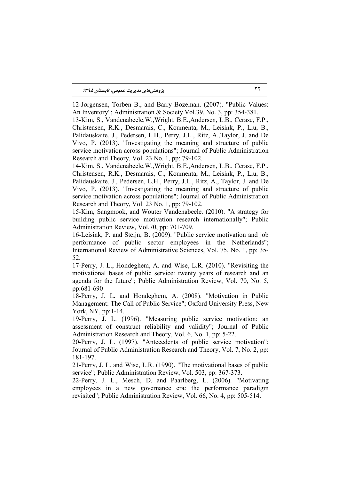12-Jørgensen, Torben B., and Barry Bozeman. (2007). "Public Values: An Inventory"; Administration & Society Vol.39, No. 3, pp: 354-381.

13-Kim, S., Vandenabeele,W.,Wright, B.E.,Andersen, L.B., Cerase, F.P., Christensen, R.K., Desmarais, C., Koumenta, M., Leisink, P., Liu, B., Palidauskaite, J., Pedersen, L.H., Perry, J.L., Ritz, A.,Taylor, J. and De Vivo, P. (2013). "Investigating the meaning and structure of public service motivation across populations"; Journal of Public Administration Research and Theory, Vol. 23 No. 1, pp: 79-102.

14-Kim, S., Vandenabeele,W.,Wright, B.E.,Andersen, L.B., Cerase, F.P., Christensen, R.K., Desmarais, C., Koumenta, M., Leisink, P., Liu, B., Palidauskaite, J., Pedersen, L.H., Perry, J.L., Ritz, A., Taylor, J. and De Vivo, P. (2013). "Investigating the meaning and structure of public service motivation across populations"; Journal of Public Administration Research and Theory, Vol. 23 No. 1, pp: 79-102.

15-Kim, Sangmook, and Wouter Vandenabeele. (2010). "A strategy for building public service motivation research internationally"; Public Administration Review, Vol.70, pp: 701-709.

16-Leisink, P. and Steijn, B. (2009). "Public service motivation and job performance of public sector employees in the Netherlands"; International Review of Administrative Sciences, Vol. 75, No. 1, pp: 35- 52.

17-Perry, J. L., Hondeghem, A. and Wise, L.R. (2010). "Revisiting the motivational bases of public service: twenty years of research and an agenda for the future"; Public Administration Review, Vol. 70, No. 5, pp:681-690

18-Perry, J. L. and Hondeghem, A. (2008). "Motivation in Public Management: The Call of Public Service"; Oxford University Press, New York, NY, pp:1-14.

19-Perry, J. L. (1996). "Measuring public service motivation: an assessment of construct reliability and validity"; Journal of Public Administration Research and Theory, Vol. 6, No. 1, pp: 5-22.

20-Perry, J. L. (1997). "Antecedents of public service motivation"; Journal of Public Administration Research and Theory, Vol. 7, No. 2, pp: 181-197.

21-Perry, J. L. and Wise, L.R. (1990). "The motivational bases of public service"; Public Administration Review, Vol. 503, pp: 367-373.

22-Perry, J. L., Mesch, D. and Paarlberg, L. (2006). "Motivating employees in a new governance era: the performance paradigm revisited"; Public Administration Review, Vol. 66, No. 4, pp: 505-514.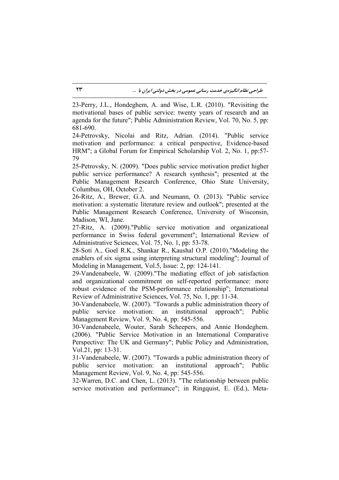23-Perry, J.L., Hondeghem, A. and Wise, L.R. (2010). "Revisiting the motivational bases of public service: twenty years of research and an agenda for the future"; Public Administration Review, Vol. 70, No. 5, pp: 681-690.

24-Petrovsky, Nicolai and Ritz, Adrian. (2014). "Public service motivation and performance: a critical perspective, Evidence-based HRM"; a Global Forum for Empirical Scholarship Vol. 2, No. 1, pp:57- 79

25-Petrovsky, N. (2009). "Does public service motivation predict higher public service performance? A research synthesis"; presented at the Public Management Research Conference, Ohio State University, Columbus, OH, October 2.

26-Ritz, A., Brewer, G.A. and Neumann, O. (2013). "Public service motivation: a systematic literature review and outlook"; presented at the Public Management Research Conference, University of Wisconsin, Madison, WI, June.

27-Ritz, A. (2009)."Public service motivation and organizational performance in Swiss federal government"; International Review of Administrative Sciences, Vol. 75, No. 1, pp: 53-78.

28-Soti A., Goel R.K., Shankar R., Kaushal O.P. (2010)."Modeling the enablers of six sigma using interpreting structural modeling"; Journal of Modeling in Management, Vol.5, Issue: 2, pp: 124-141.

29-Vandenabeele, W. (2009)."The mediating effect of job satisfaction and organizational commitment on self-reported performance: more robust evidence of the PSM-performance relationship"; International Review of Administrative Sciences, Vol. 75, No. 1, pp: 11-34.

30-Vandenabeele, W. (2007). "Towards a public administration theory of public service motivation: an institutional approach"; Public Management Review, Vol. 9, No. 4, pp: 545-556.

30-Vandenabeele, Wouter, Sarah Scheepers, and Annie Hondeghem. (2006). "Public Service Motivation in an International Comparative Perspective: The UK and Germany"; Public Policy and Administration, Vol.21, pp: 13-31.

31-Vandenabeele, W. (2007). "Towards a public administration theory of public service motivation: an institutional approach"; Public Management Review, Vol. 9, No. 4, pp: 545-556.

32-Warren, D.C. and Chen, L. (2013). "The relationship between public service motivation and performance"; in Ringquist, E. (Ed.), Meta-